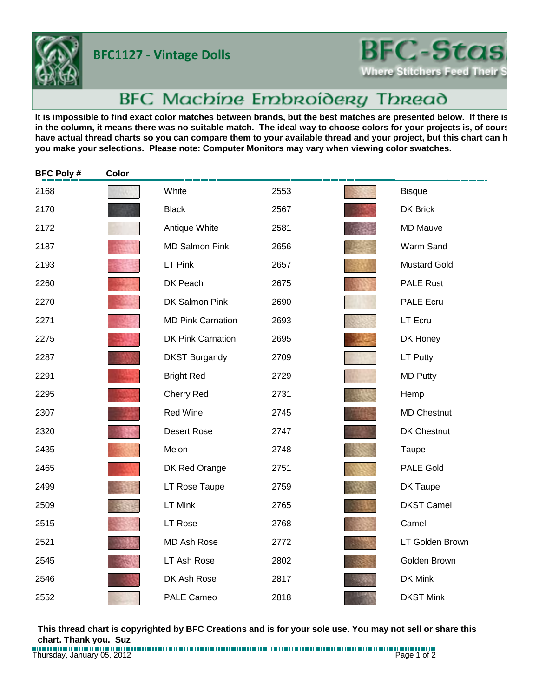**BFC1127 - Vintage Dolls**



## BFC Machine Embroidery Thread

It is impossible to find exact color matches between brands, but the best matches are presented below. If there is in the column, it means there was no suitable match. The ideal way to choose colors for your projects is, of cours have actual thread charts so you can compare them to your available thread and your project, but this chart can h **you make your selections. Please note: Computer Monitors may vary when viewing color swatches.**

| <b>BFC Poly#</b> | Color |                          |      |                     |
|------------------|-------|--------------------------|------|---------------------|
| 2168             |       | White                    | 2553 | <b>Bisque</b>       |
| 2170             |       | <b>Black</b>             | 2567 | <b>DK Brick</b>     |
| 2172             |       | Antique White            | 2581 | <b>MD Mauve</b>     |
| 2187             |       | <b>MD Salmon Pink</b>    | 2656 | Warm Sand           |
| 2193             |       | LT Pink                  | 2657 | <b>Mustard Gold</b> |
| 2260             |       | DK Peach                 | 2675 | <b>PALE Rust</b>    |
| 2270             |       | DK Salmon Pink           | 2690 | <b>PALE Ecru</b>    |
| 2271             |       | <b>MD Pink Carnation</b> | 2693 | LT Ecru             |
| 2275             |       | <b>DK Pink Carnation</b> | 2695 | DK Honey            |
| 2287             |       | <b>DKST Burgandy</b>     | 2709 | LT Putty            |
| 2291             |       | <b>Bright Red</b>        | 2729 | <b>MD Putty</b>     |
| 2295             |       | <b>Cherry Red</b>        | 2731 | Hemp                |
| 2307             |       | <b>Red Wine</b>          | 2745 | <b>MD Chestnut</b>  |
| 2320             |       | <b>Desert Rose</b>       | 2747 | DK Chestnut         |
| 2435             |       | Melon                    | 2748 | Taupe               |
| 2465             |       | DK Red Orange            | 2751 | <b>PALE Gold</b>    |
| 2499             |       | LT Rose Taupe            | 2759 | DK Taupe            |
| 2509             |       | LT Mink                  | 2765 | <b>DKST Camel</b>   |
| 2515             |       | <b>LT Rose</b>           | 2768 | Camel               |
| 2521             |       | <b>MD Ash Rose</b>       | 2772 | LT Golden Brown     |
| 2545             |       | LT Ash Rose              | 2802 | Golden Brown        |
| 2546             |       | DK Ash Rose              | 2817 | DK Mink             |
| 2552             |       | <b>PALE Cameo</b>        | 2818 | <b>DKST Mink</b>    |

**This thread chart is copyrighted by BFC Creations and is for your sole use. You may not sell or share this chart. Thank you. Suz**